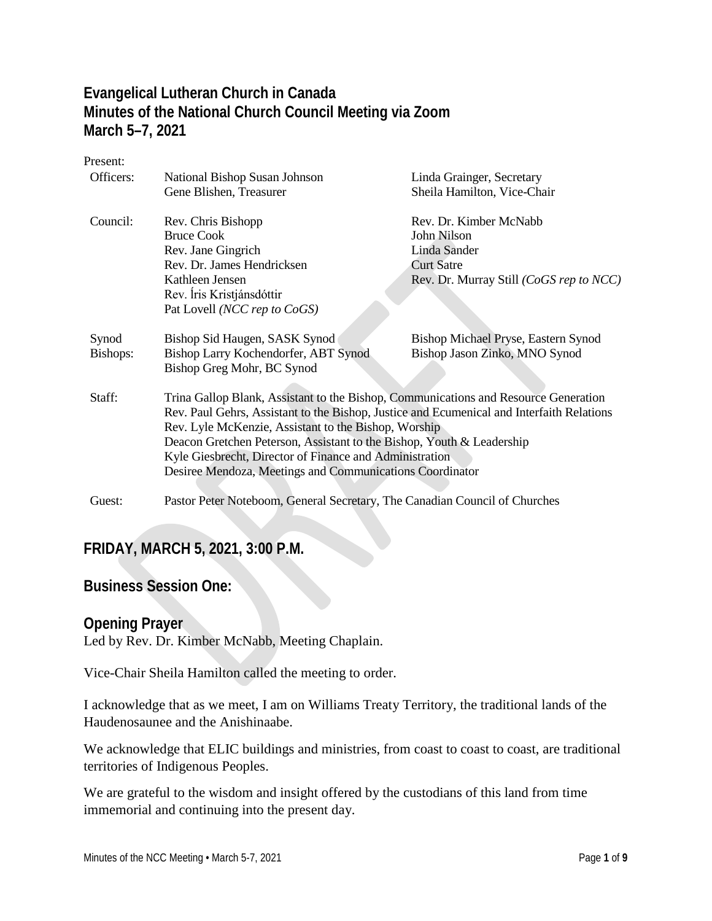## **Evangelical Lutheran Church in Canada Minutes of the National Church Council Meeting via Zoom March 5–7, 2021**

Present:

| Officers:                                                | National Bishop Susan Johnson                                                             | Linda Grainger, Secretary               |  |  |
|----------------------------------------------------------|-------------------------------------------------------------------------------------------|-----------------------------------------|--|--|
|                                                          | Gene Blishen, Treasurer                                                                   | Sheila Hamilton, Vice-Chair             |  |  |
| Council:                                                 | Rev. Chris Bishopp                                                                        | Rev. Dr. Kimber McNabb                  |  |  |
|                                                          | <b>Bruce Cook</b>                                                                         | John Nilson                             |  |  |
|                                                          | Rev. Jane Gingrich                                                                        | Linda Sander                            |  |  |
|                                                          | Rev. Dr. James Hendricksen                                                                | <b>Curt Satre</b>                       |  |  |
|                                                          | Kathleen Jensen                                                                           | Rev. Dr. Murray Still (CoGS rep to NCC) |  |  |
|                                                          | Rev. Íris Kristjánsdóttir                                                                 |                                         |  |  |
|                                                          | Pat Lovell (NCC rep to CoGS)                                                              |                                         |  |  |
| Synod                                                    | Bishop Sid Haugen, SASK Synod                                                             | Bishop Michael Pryse, Eastern Synod     |  |  |
| Bishops:                                                 | Bishop Larry Kochendorfer, ABT Synod                                                      | Bishop Jason Zinko, MNO Synod           |  |  |
|                                                          | Bishop Greg Mohr, BC Synod                                                                |                                         |  |  |
|                                                          |                                                                                           |                                         |  |  |
| Staff:                                                   | Trina Gallop Blank, Assistant to the Bishop, Communications and Resource Generation       |                                         |  |  |
|                                                          | Rev. Paul Gehrs, Assistant to the Bishop, Justice and Ecumenical and Interfaith Relations |                                         |  |  |
|                                                          | Rev. Lyle McKenzie, Assistant to the Bishop, Worship                                      |                                         |  |  |
|                                                          | Deacon Gretchen Peterson, Assistant to the Bishop, Youth & Leadership                     |                                         |  |  |
|                                                          | Kyle Giesbrecht, Director of Finance and Administration                                   |                                         |  |  |
| Desiree Mendoza, Meetings and Communications Coordinator |                                                                                           |                                         |  |  |
| Guest:                                                   | Pastor Peter Noteboom, General Secretary, The Canadian Council of Churches                |                                         |  |  |

## **FRIDAY, MARCH 5, 2021, 3:00 P.M.**

## **Business Session One:**

### **Opening Prayer**

Led by Rev. Dr. Kimber McNabb, Meeting Chaplain.

Vice-Chair Sheila Hamilton called the meeting to order.

I acknowledge that as we meet, I am on Williams Treaty Territory, the traditional lands of the Haudenosaunee and the Anishinaabe.

We acknowledge that ELIC buildings and ministries, from coast to coast to coast, are traditional territories of Indigenous Peoples.

We are grateful to the wisdom and insight offered by the custodians of this land from time immemorial and continuing into the present day.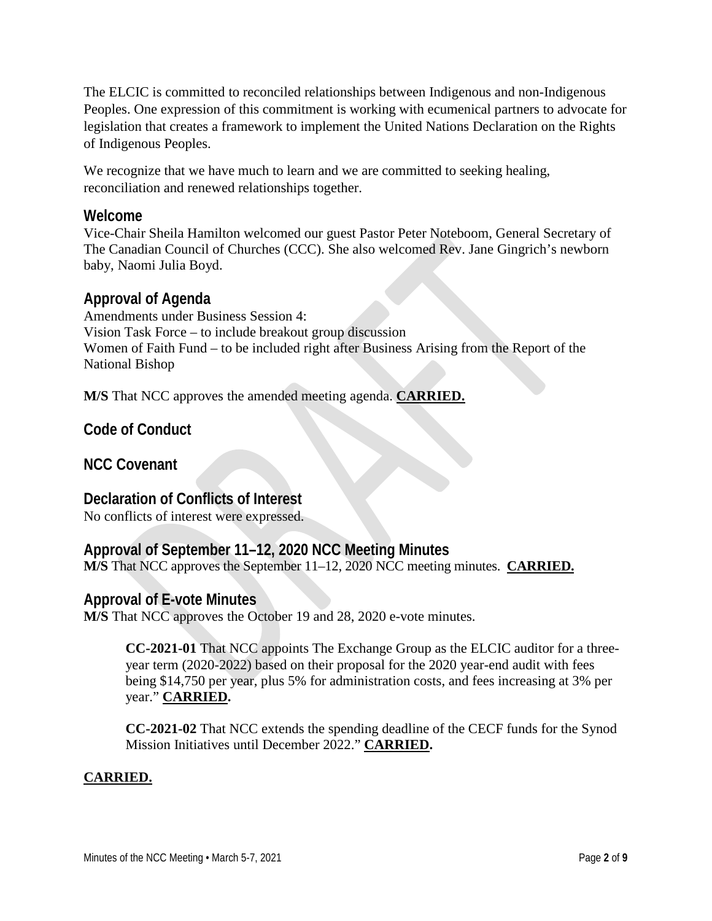The ELCIC is committed to reconciled relationships between Indigenous and non-Indigenous Peoples. One expression of this commitment is working with ecumenical partners to advocate for legislation that creates a framework to implement the United Nations Declaration on the Rights of Indigenous Peoples.

We recognize that we have much to learn and we are committed to seeking healing, reconciliation and renewed relationships together.

## **Welcome**

Vice-Chair Sheila Hamilton welcomed our guest Pastor Peter Noteboom, General Secretary of The Canadian Council of Churches (CCC). She also welcomed Rev. Jane Gingrich's newborn baby, Naomi Julia Boyd.

## **Approval of Agenda**

Amendments under Business Session 4: Vision Task Force – to include breakout group discussion Women of Faith Fund – to be included right after Business Arising from the Report of the National Bishop

**M/S** That NCC approves the amended meeting agenda. **CARRIED.**

**Code of Conduct**

**NCC Covenant**

## **Declaration of Conflicts of Interest**

No conflicts of interest were expressed.

## **Approval of September 11–12, 2020 NCC Meeting Minutes**

**M/S** That NCC approves the September 11–12, 2020 NCC meeting minutes. **CARRIED.**

## **Approval of E-vote Minutes**

**M/S** That NCC approves the October 19 and 28, 2020 e-vote minutes.

**CC-2021-01** That NCC appoints The Exchange Group as the ELCIC auditor for a threeyear term (2020-2022) based on their proposal for the 2020 year-end audit with fees being \$14,750 per year, plus 5% for administration costs, and fees increasing at 3% per year." **CARRIED.**

**CC-2021-02** That NCC extends the spending deadline of the CECF funds for the Synod Mission Initiatives until December 2022." **CARRIED.**

## **CARRIED.**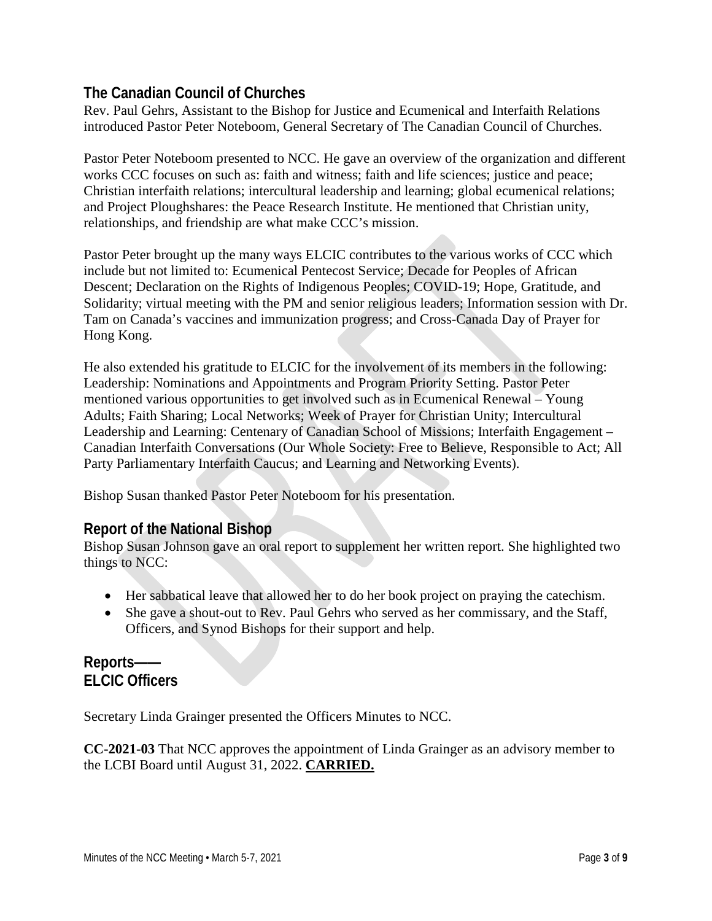## **The Canadian Council of Churches**

Rev. Paul Gehrs, Assistant to the Bishop for Justice and Ecumenical and Interfaith Relations introduced Pastor Peter Noteboom, General Secretary of The Canadian Council of Churches.

Pastor Peter Noteboom presented to NCC. He gave an overview of the organization and different works CCC focuses on such as: faith and witness; faith and life sciences; justice and peace; Christian interfaith relations; intercultural leadership and learning; global ecumenical relations; and Project Ploughshares: the Peace Research Institute. He mentioned that Christian unity, relationships, and friendship are what make CCC's mission.

Pastor Peter brought up the many ways ELCIC contributes to the various works of CCC which include but not limited to: Ecumenical Pentecost Service; Decade for Peoples of African Descent; Declaration on the Rights of Indigenous Peoples; COVID-19; Hope, Gratitude, and Solidarity; virtual meeting with the PM and senior religious leaders; Information session with Dr. Tam on Canada's vaccines and immunization progress; and Cross-Canada Day of Prayer for Hong Kong.

He also extended his gratitude to ELCIC for the involvement of its members in the following: Leadership: Nominations and Appointments and Program Priority Setting. Pastor Peter mentioned various opportunities to get involved such as in Ecumenical Renewal – Young Adults; Faith Sharing; Local Networks; Week of Prayer for Christian Unity; Intercultural Leadership and Learning: Centenary of Canadian School of Missions; Interfaith Engagement – Canadian Interfaith Conversations (Our Whole Society: Free to Believe, Responsible to Act; All Party Parliamentary Interfaith Caucus; and Learning and Networking Events).

Bishop Susan thanked Pastor Peter Noteboom for his presentation.

## **Report of the National Bishop**

Bishop Susan Johnson gave an oral report to supplement her written report. She highlighted two things to NCC:

- Her sabbatical leave that allowed her to do her book project on praying the catechism.
- She gave a shout-out to Rev. Paul Gehrs who served as her commissary, and the Staff, Officers, and Synod Bishops for their support and help.

## **Reports—— ELCIC Officers**

Secretary Linda Grainger presented the Officers Minutes to NCC.

**CC-2021-03** That NCC approves the appointment of Linda Grainger as an advisory member to the LCBI Board until August 31, 2022. **CARRIED.**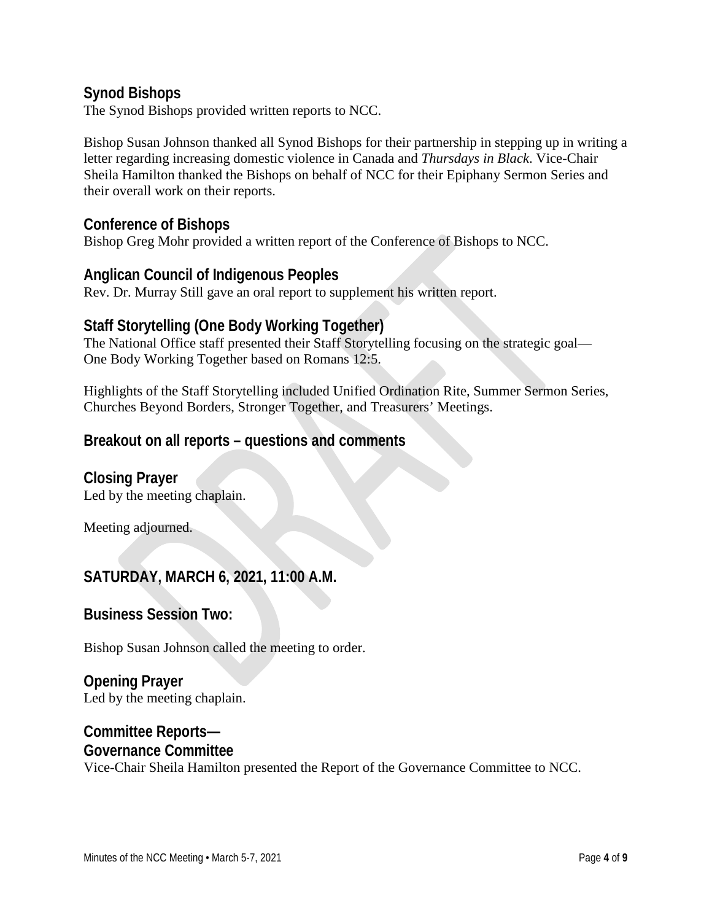## **Synod Bishops**

The Synod Bishops provided written reports to NCC.

Bishop Susan Johnson thanked all Synod Bishops for their partnership in stepping up in writing a letter regarding increasing domestic violence in Canada and *Thursdays in Black*. Vice-Chair Sheila Hamilton thanked the Bishops on behalf of NCC for their Epiphany Sermon Series and their overall work on their reports.

## **Conference of Bishops**

Bishop Greg Mohr provided a written report of the Conference of Bishops to NCC.

### **Anglican Council of Indigenous Peoples**

Rev. Dr. Murray Still gave an oral report to supplement his written report.

## **Staff Storytelling (One Body Working Together)**

The National Office staff presented their Staff Storytelling focusing on the strategic goal— One Body Working Together based on Romans 12:5.

Highlights of the Staff Storytelling included Unified Ordination Rite, Summer Sermon Series, Churches Beyond Borders, Stronger Together, and Treasurers' Meetings.

## **Breakout on all reports – questions and comments**

**Closing Prayer** Led by the meeting chaplain.

Meeting adjourned.

## **SATURDAY, MARCH 6, 2021, 11:00 A.M.**

**Business Session Two:**

Bishop Susan Johnson called the meeting to order.

**Opening Prayer** Led by the meeting chaplain.

## **Committee Reports— Governance Committee**

Vice-Chair Sheila Hamilton presented the Report of the Governance Committee to NCC.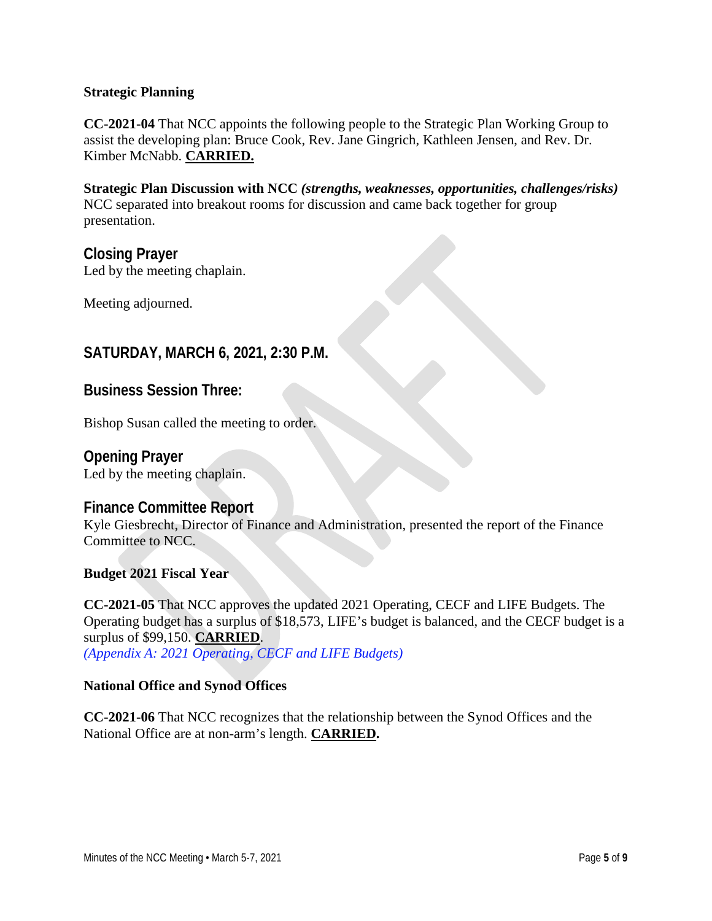#### **Strategic Planning**

**CC-2021-04** That NCC appoints the following people to the Strategic Plan Working Group to assist the developing plan: Bruce Cook, Rev. Jane Gingrich, Kathleen Jensen, and Rev. Dr. Kimber McNabb. **CARRIED.**

**Strategic Plan Discussion with NCC** *(strengths, weaknesses, opportunities, challenges/risks)* NCC separated into breakout rooms for discussion and came back together for group presentation.

**Closing Prayer** Led by the meeting chaplain.

Meeting adjourned.

## **SATURDAY, MARCH 6, 2021, 2:30 P.M.**

**Business Session Three:**

Bishop Susan called the meeting to order.

**Opening Prayer** Led by the meeting chaplain.

### **Finance Committee Report**

Kyle Giesbrecht, Director of Finance and Administration, presented the report of the Finance Committee to NCC.

### **Budget 2021 Fiscal Year**

**CC-2021-05** That NCC approves the updated 2021 Operating, CECF and LIFE Budgets. The Operating budget has a surplus of \$18,573, LIFE's budget is balanced, and the CECF budget is a surplus of \$99,150. **CARRIED**. *(Appendix A: 2021 Operating, CECF and LIFE Budgets)* 

#### **National Office and Synod Offices**

**CC-2021-06** That NCC recognizes that the relationship between the Synod Offices and the National Office are at non-arm's length. **CARRIED.**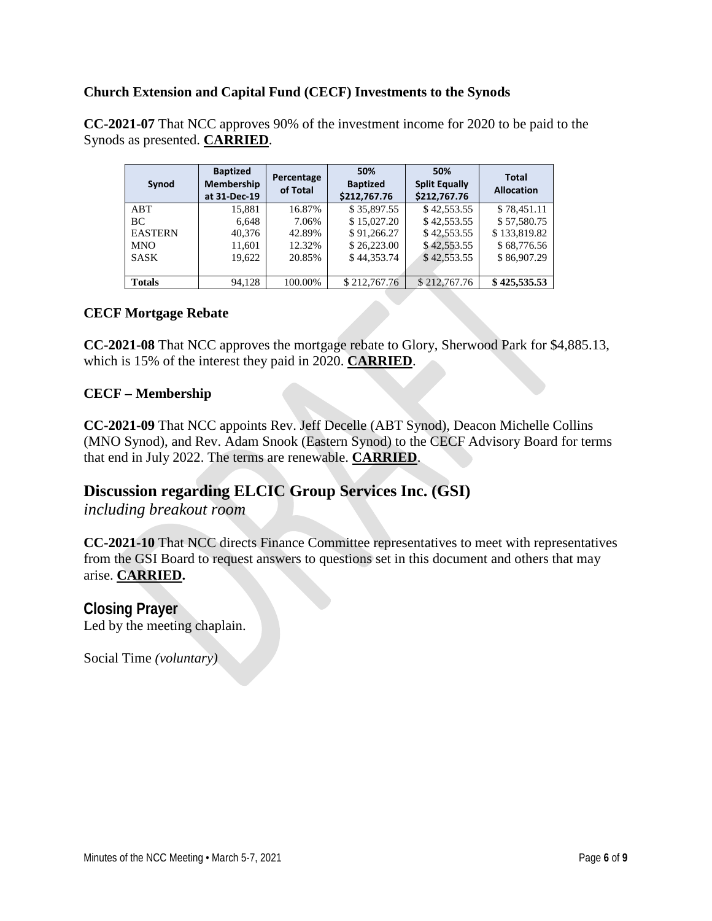#### **Church Extension and Capital Fund (CECF) Investments to the Synods**

**CC-2021-07** That NCC approves 90% of the investment income for 2020 to be paid to the Synods as presented. **CARRIED**.

| Synod          | <b>Baptized</b><br>Membership<br>at 31-Dec-19 | Percentage<br>of Total | 50%<br><b>Baptized</b><br>\$212,767.76 | 50%<br><b>Split Equally</b><br>\$212,767.76 | <b>Total</b><br><b>Allocation</b> |
|----------------|-----------------------------------------------|------------------------|----------------------------------------|---------------------------------------------|-----------------------------------|
| ABT            | 15,881                                        | 16.87%                 | \$35,897.55                            | \$42,553.55                                 | \$78,451.11                       |
| BC             | 6,648                                         | 7.06%                  | \$15,027.20                            | \$42,553.55                                 | \$57,580.75                       |
| <b>EASTERN</b> | 40,376                                        | 42.89%                 | \$91,266.27                            | \$42,553.55                                 | \$133,819.82                      |
| <b>MNO</b>     | 11,601                                        | 12.32%                 | \$26,223.00                            | \$42,553.55                                 | \$68,776.56                       |
| <b>SASK</b>    | 19.622                                        | 20.85%                 | \$44,353.74                            | \$42,553.55                                 | \$86,907.29                       |
|                |                                               |                        |                                        |                                             |                                   |
| <b>Totals</b>  | 94.128                                        | 100.00%                | \$212,767.76                           | \$212,767.76                                | \$425,535.53                      |

#### **CECF Mortgage Rebate**

**CC-2021-08** That NCC approves the mortgage rebate to Glory, Sherwood Park for \$4,885.13, which is 15% of the interest they paid in 2020. **CARRIED**.

#### **CECF – Membership**

**CC-2021-09** That NCC appoints Rev. Jeff Decelle (ABT Synod), Deacon Michelle Collins (MNO Synod), and Rev. Adam Snook (Eastern Synod) to the CECF Advisory Board for terms that end in July 2022. The terms are renewable. **CARRIED**.

## **Discussion regarding ELCIC Group Services Inc. (GSI)**

*including breakout room*

**CC-2021-10** That NCC directs Finance Committee representatives to meet with representatives from the GSI Board to request answers to questions set in this document and others that may arise. **CARRIED.** 

**Closing Prayer** Led by the meeting chaplain.

Social Time *(voluntary)*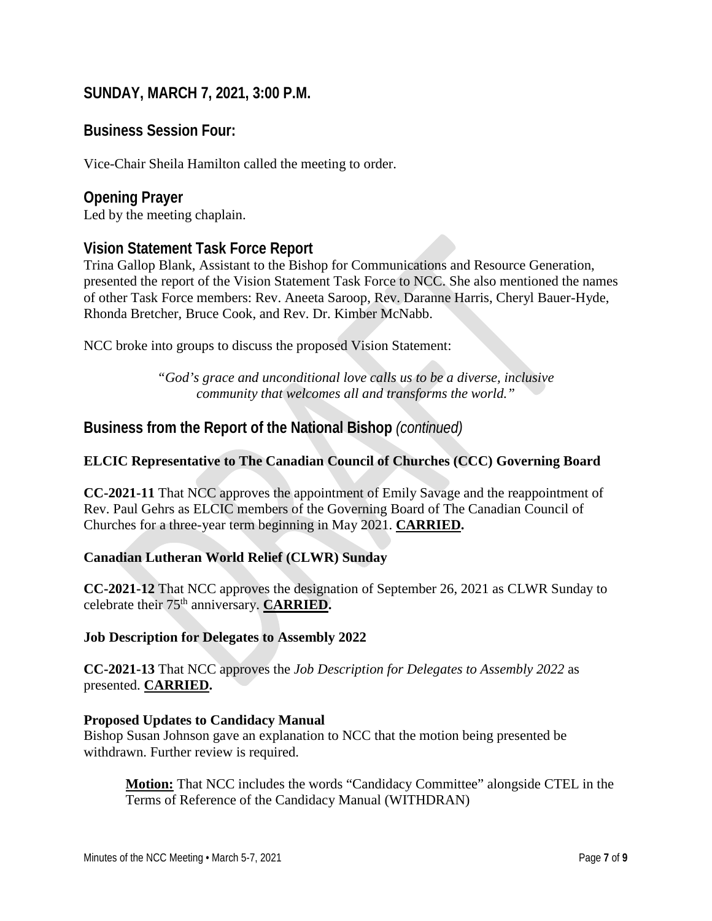## **SUNDAY, MARCH 7, 2021, 3:00 P.M.**

## **Business Session Four:**

Vice-Chair Sheila Hamilton called the meeting to order.

## **Opening Prayer**

Led by the meeting chaplain.

## **Vision Statement Task Force Report**

Trina Gallop Blank, Assistant to the Bishop for Communications and Resource Generation, presented the report of the Vision Statement Task Force to NCC. She also mentioned the names of other Task Force members: Rev. Aneeta Saroop, Rev. Daranne Harris, Cheryl Bauer-Hyde, Rhonda Bretcher, Bruce Cook, and Rev. Dr. Kimber McNabb.

NCC broke into groups to discuss the proposed Vision Statement:

*"God's grace and unconditional love calls us to be a diverse, inclusive community that welcomes all and transforms the world."*

## **Business from the Report of the National Bishop** *(continued)*

### **ELCIC Representative to The Canadian Council of Churches (CCC) Governing Board**

**CC-2021-11** That NCC approves the appointment of Emily Savage and the reappointment of Rev. Paul Gehrs as ELCIC members of the Governing Board of The Canadian Council of Churches for a three-year term beginning in May 2021. **CARRIED.** 

#### **Canadian Lutheran World Relief (CLWR) Sunday**

**CC-2021-12** That NCC approves the designation of September 26, 2021 as CLWR Sunday to celebrate their 75th anniversary. **CARRIED.** 

#### **Job Description for Delegates to Assembly 2022**

**CC-2021-13** That NCC approves the *Job Description for Delegates to Assembly 2022* as presented. **CARRIED.** 

#### **Proposed Updates to Candidacy Manual**

Bishop Susan Johnson gave an explanation to NCC that the motion being presented be withdrawn. Further review is required.

**Motion:** That NCC includes the words "Candidacy Committee" alongside CTEL in the Terms of Reference of the Candidacy Manual (WITHDRAN)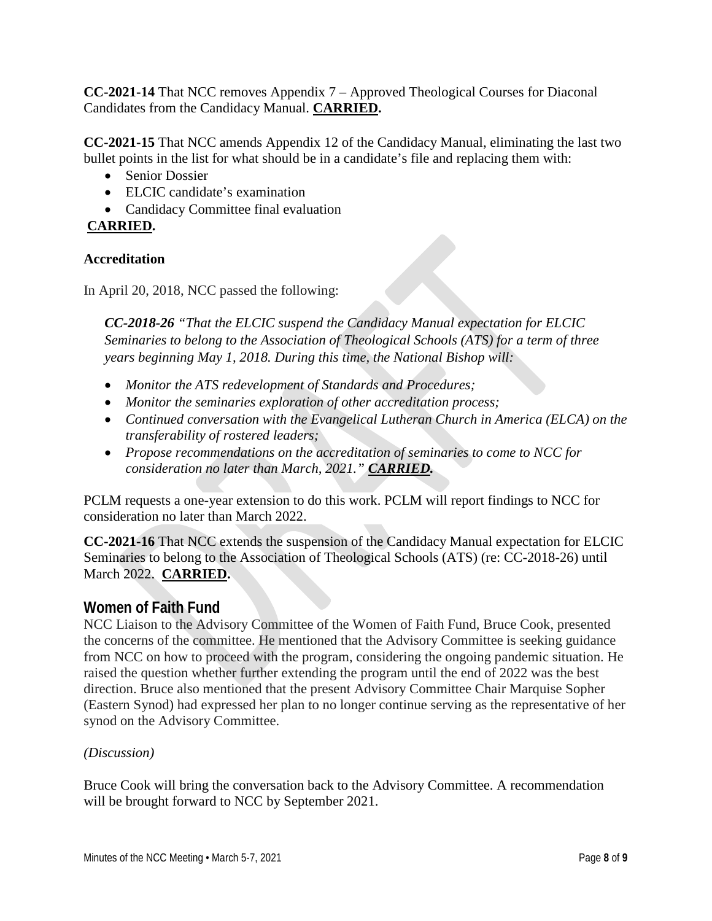**CC-2021-14** That NCC removes Appendix 7 – Approved Theological Courses for Diaconal Candidates from the Candidacy Manual. **CARRIED.** 

**CC-2021-15** That NCC amends Appendix 12 of the Candidacy Manual, eliminating the last two bullet points in the list for what should be in a candidate's file and replacing them with:

- Senior Dossier
- ELCIC candidate's examination
- Candidacy Committee final evaluation

## **CARRIED.**

## **Accreditation**

In April 20, 2018, NCC passed the following:

*CC-2018-26 "That the ELCIC suspend the Candidacy Manual expectation for ELCIC Seminaries to belong to the Association of Theological Schools (ATS) for a term of three years beginning May 1, 2018. During this time, the National Bishop will:*

- *Monitor the ATS redevelopment of Standards and Procedures;*
- *Monitor the seminaries exploration of other accreditation process;*
- *Continued conversation with the Evangelical Lutheran Church in America (ELCA) on the transferability of rostered leaders;*
- *Propose recommendations on the accreditation of seminaries to come to NCC for consideration no later than March, 2021." CARRIED.*

PCLM requests a one-year extension to do this work. PCLM will report findings to NCC for consideration no later than March 2022.

**CC-2021-16** That NCC extends the suspension of the Candidacy Manual expectation for ELCIC Seminaries to belong to the Association of Theological Schools (ATS) (re: CC-2018-26) until March 2022. **CARRIED.** 

## **Women of Faith Fund**

NCC Liaison to the Advisory Committee of the Women of Faith Fund, Bruce Cook, presented the concerns of the committee. He mentioned that the Advisory Committee is seeking guidance from NCC on how to proceed with the program, considering the ongoing pandemic situation. He raised the question whether further extending the program until the end of 2022 was the best direction. Bruce also mentioned that the present Advisory Committee Chair Marquise Sopher (Eastern Synod) had expressed her plan to no longer continue serving as the representative of her synod on the Advisory Committee.

### *(Discussion)*

Bruce Cook will bring the conversation back to the Advisory Committee. A recommendation will be brought forward to NCC by September 2021.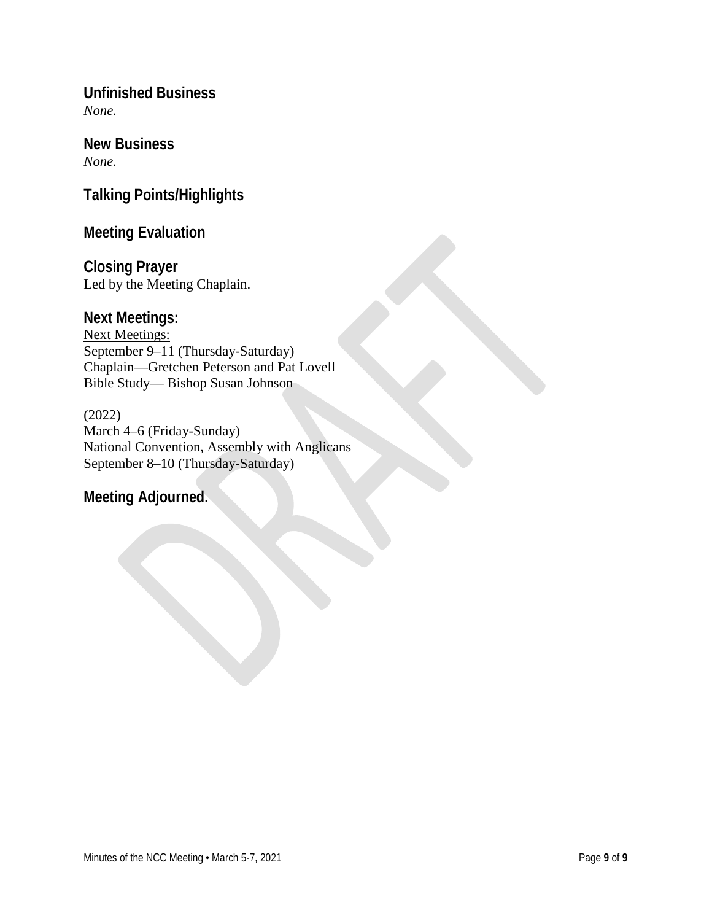**Unfinished Business** *None.*

**New Business** *None.*

**Talking Points/Highlights**

## **Meeting Evaluation**

**Closing Prayer** Led by the Meeting Chaplain.

## **Next Meetings:**

Next Meetings: September 9–11 (Thursday-Saturday) Chaplain—Gretchen Peterson and Pat Lovell Bible Study— Bishop Susan Johnson

(2022) March 4–6 (Friday-Sunday) National Convention, Assembly with Anglicans September 8–10 (Thursday-Saturday)

## **Meeting Adjourned.**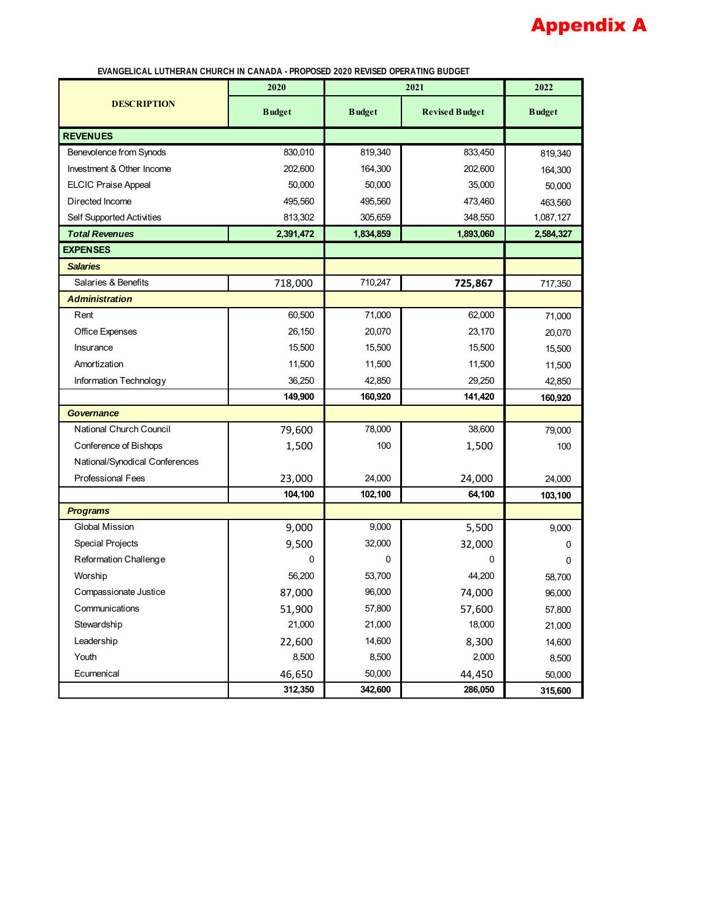# Appendix A

 **EVANGELICAL LUTHERAN CHURCH IN CANADA - PROPOSED 2020 REVISED OPERATING BUDGET**

|                                | 2020          |               | 2021                  |               |
|--------------------------------|---------------|---------------|-----------------------|---------------|
| <b>DESCRIPTION</b>             | <b>Budget</b> | <b>Budget</b> | <b>Revised Budget</b> | <b>Budget</b> |
| <b>REVENUES</b>                |               |               |                       |               |
| Benevolence from Synods        | 830,010       | 819,340       | 833,450               | 819,340       |
| Investment & Other Income      | 202,600       | 164,300       | 202,600               | 164,300       |
| <b>ELCIC Praise Appeal</b>     | 50,000        | 50,000        | 35,000                | 50,000        |
| Directed Income                | 495,560       | 495,560       | 473,460               | 463,560       |
| Self Supported Activities      | 813,302       | 305,659       | 348,550               | 1,087,127     |
| <b>Total Revenues</b>          | 2,391,472     | 1,834,859     | 1,893,060             | 2,584,327     |
| <b>EXPENSES</b>                |               |               |                       |               |
| <b>Salaries</b>                |               |               |                       |               |
| Salaries & Benefits            | 718,000       | 710,247       | 725,867               | 717,350       |
| <b>Administration</b>          |               |               |                       |               |
| Rent                           | 60,500        | 71,000        | 62,000                | 71,000        |
| Office Expenses                | 26,150        | 20,070        | 23,170                | 20,070        |
| Insurance                      | 15,500        | 15,500        | 15,500                | 15,500        |
| Amortization                   | 11,500        | 11,500        | 11,500                | 11,500        |
| Information Technology         | 36,250        | 42,850        | 29,250                | 42,850        |
|                                | 149,900       | 160,920       | 141,420               | 160,920       |
| Governance                     |               |               |                       |               |
| National Church Council        | 79,600        | 78,000        | 38,600                | 79,000        |
| Conference of Bishops          | 1,500         | 100           | 1,500                 | 100           |
| National/Synodical Conferences |               |               |                       |               |
| <b>Professional Fees</b>       | 23,000        | 24,000        | 24,000                | 24,000        |
|                                | 104,100       | 102,100       | 64,100                | 103,100       |
| <b>Programs</b>                |               |               |                       |               |
| Global Mission                 | 9,000         | 9,000         | 5,500                 | 9,000         |
| Special Projects               | 9,500         | 32,000        | 32,000                | 0             |
| Reformation Challenge          | 0             | 0             | 0                     | 0             |
| Worship                        | 56,200        | 53,700        | 44,200                | 58,700        |
| Compassionate Justice          | 87,000        | 96,000        | 74,000                | 96,000        |
| Communications                 | 51,900        | 57,800        | 57,600                | 57,800        |
| Stewardship                    | 21,000        | 21,000        | 18,000                | 21,000        |
| Leadership                     | 22,600        | 14,600        | 8,300                 | 14,600        |
| Youth                          | 8,500         | 8,500         | 2,000                 | 8,500         |
| Ecumenical                     | 46,650        | 50,000        | 44,450                | 50,000        |
|                                | 312,350       | 342,600       | 286,050               | 315,600       |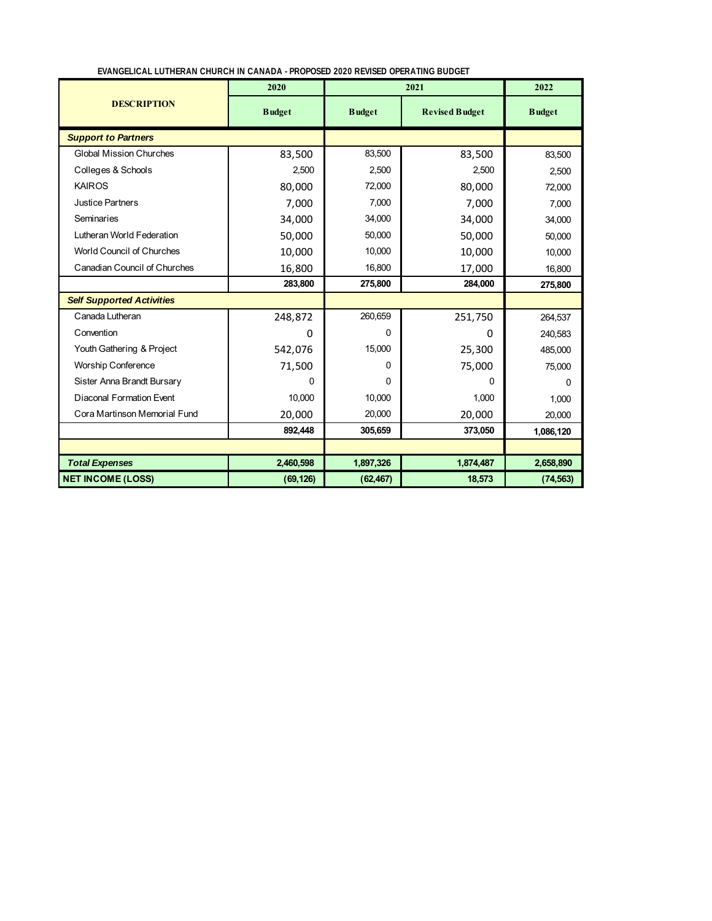| EVANGELICAL LUTHERAN CHURCH IN CANADA - PROPOSED 2020 REVISED OPERATING BUDGET |  |
|--------------------------------------------------------------------------------|--|

|                                     | 2020          |               | 2022                  |               |
|-------------------------------------|---------------|---------------|-----------------------|---------------|
| <b>DESCRIPTION</b>                  | <b>Budget</b> | <b>Budget</b> | <b>Revised Budget</b> | <b>Budget</b> |
| <b>Support to Partners</b>          |               |               |                       |               |
| <b>Global Mission Churches</b>      | 83,500        | 83,500        | 83,500                | 83,500        |
| Colleges & Schools                  | 2,500         | 2,500         | 2,500                 | 2,500         |
| <b>KAIROS</b>                       | 80,000        | 72,000        | 80,000                | 72,000        |
| <b>Justice Partners</b>             | 7,000         | 7,000         | 7,000                 | 7,000         |
| Seminaries                          | 34,000        | 34,000        | 34,000                | 34,000        |
| Lutheran World Federation           | 50,000        | 50,000        | 50,000                | 50,000        |
| <b>World Council of Churches</b>    | 10,000        | 10,000        | 10,000                | 10,000        |
| <b>Canadian Council of Churches</b> | 16,800        | 16,800        | 17,000                | 16,800        |
|                                     | 283,800       | 275,800       | 284,000               | 275,800       |
| <b>Self Supported Activities</b>    |               |               |                       |               |
| Canada Lutheran                     | 248,872       | 260,659       | 251,750               | 264,537       |
| Convention                          | 0             | 0             | $\Omega$              | 240,583       |
| Youth Gathering & Project           | 542,076       | 15,000        | 25,300                | 485,000       |
| <b>Worship Conference</b>           | 71,500        | 0             | 75,000                | 75,000        |
| Sister Anna Brandt Bursary          | 0             | 0             | 0                     | 0             |
| Diaconal Formation Event            | 10.000        | 10.000        | 1,000                 | 1,000         |
| Cora Martinson Memorial Fund        | 20,000        | 20,000        | 20,000                | 20,000        |
|                                     | 892,448       | 305,659       | 373,050               | 1,086,120     |
|                                     |               |               |                       |               |
| <b>Total Expenses</b>               | 2,460,598     | 1,897,326     | 1,874,487             | 2,658,890     |
| <b>NET INCOME (LOSS)</b>            | (69, 126)     | (62, 467)     | 18,573                | (74, 563)     |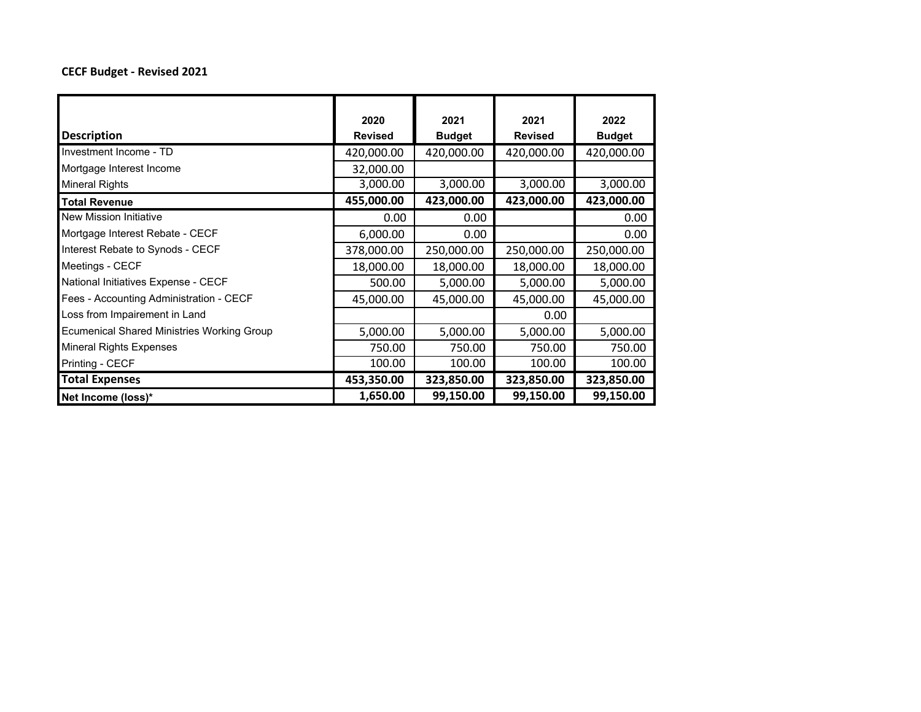#### **CECF Budget ‐ Revised 2021**

|                                                   | 2020           | 2021          | 2021           | 2022          |
|---------------------------------------------------|----------------|---------------|----------------|---------------|
| <b>Description</b>                                | <b>Revised</b> | <b>Budget</b> | <b>Revised</b> | <b>Budget</b> |
| Investment Income - TD                            | 420,000.00     | 420,000.00    | 420,000.00     | 420,000.00    |
| Mortgage Interest Income                          | 32,000.00      |               |                |               |
| <b>Mineral Rights</b>                             | 3,000.00       | 3,000.00      | 3,000.00       | 3,000.00      |
| <b>Total Revenue</b>                              | 455,000.00     | 423,000.00    | 423,000.00     | 423,000.00    |
| New Mission Initiative                            | 0.00           | 0.00          |                | 0.00          |
| Mortgage Interest Rebate - CECF                   | 6,000.00       | 0.00          |                | 0.00          |
| Interest Rebate to Synods - CECF                  | 378,000.00     | 250,000.00    | 250,000.00     | 250,000.00    |
| Meetings - CECF                                   | 18,000.00      | 18,000.00     | 18,000.00      | 18,000.00     |
| National Initiatives Expense - CECF               | 500.00         | 5,000.00      | 5,000.00       | 5,000.00      |
| Fees - Accounting Administration - CECF           | 45,000.00      | 45,000.00     | 45,000.00      | 45,000.00     |
| Loss from Impairement in Land                     |                |               | 0.00           |               |
| <b>Ecumenical Shared Ministries Working Group</b> | 5,000.00       | 5,000.00      | 5,000.00       | 5,000.00      |
| <b>Mineral Rights Expenses</b>                    | 750.00         | 750.00        | 750.00         | 750.00        |
| Printing - CECF                                   | 100.00         | 100.00        | 100.00         | 100.00        |
| <b>Total Expenses</b>                             | 453,350.00     | 323,850.00    | 323,850.00     | 323,850.00    |
| Net Income (loss)*                                | 1,650.00       | 99,150.00     | 99,150.00      | 99,150.00     |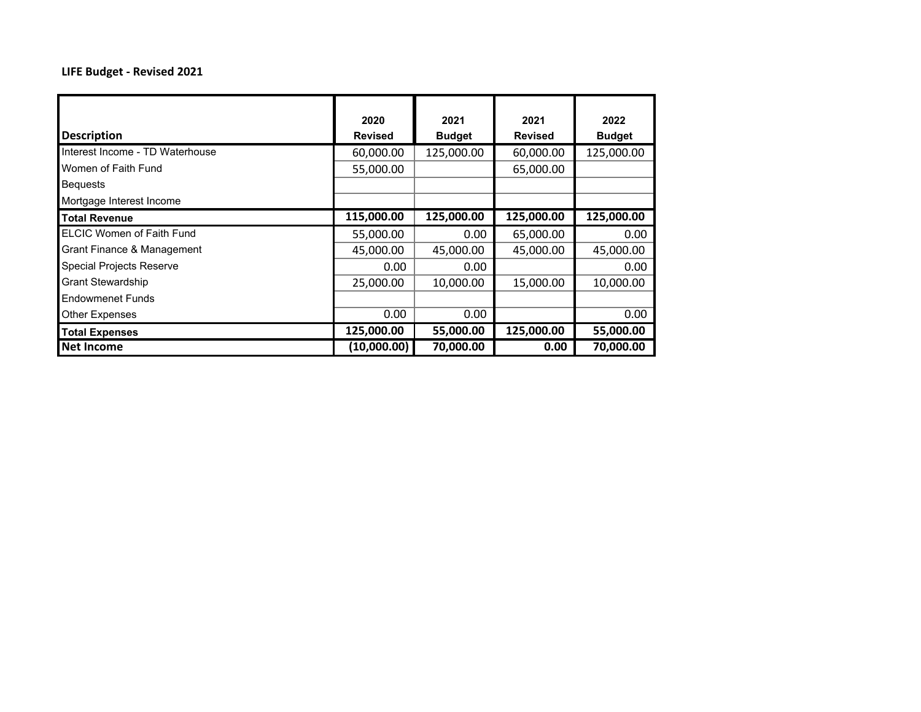#### **LIFE Budget ‐ Revised 2021**

|                                  | 2020           | 2021          | 2021           | 2022          |
|----------------------------------|----------------|---------------|----------------|---------------|
| <b>Description</b>               | <b>Revised</b> | <b>Budget</b> | <b>Revised</b> | <b>Budget</b> |
| Interest Income - TD Waterhouse  | 60,000.00      | 125,000.00    | 60,000.00      | 125,000.00    |
| Women of Faith Fund              | 55,000.00      |               | 65,000.00      |               |
| <b>Bequests</b>                  |                |               |                |               |
| Mortgage Interest Income         |                |               |                |               |
| <b>Total Revenue</b>             | 115,000.00     | 125,000.00    | 125,000.00     | 125,000.00    |
| <b>ELCIC Women of Faith Fund</b> | 55,000.00      | 0.00          | 65,000.00      | 0.00          |
| Grant Finance & Management       | 45,000.00      | 45,000.00     | 45,000.00      | 45,000.00     |
| <b>Special Projects Reserve</b>  | 0.00           | 0.00          |                | 0.00          |
| <b>Grant Stewardship</b>         | 25,000.00      | 10,000.00     | 15,000.00      | 10,000.00     |
| <b>Endowmenet Funds</b>          |                |               |                |               |
| <b>Other Expenses</b>            | 0.00           | 0.00          |                | 0.00          |
| <b>Total Expenses</b>            | 125,000.00     | 55,000.00     | 125,000.00     | 55,000.00     |
| <b>Net Income</b>                | (10,000.00)    | 70,000.00     | 0.00           | 70,000.00     |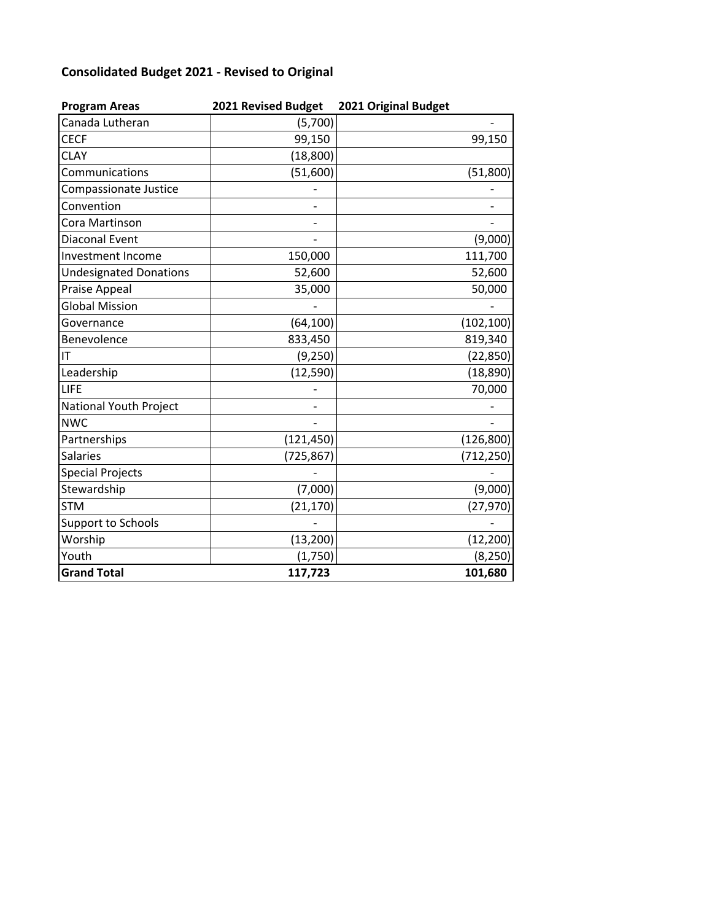## **Consolidated Budget 2021 ‐ Revised to Original**

| <b>Program Areas</b>          | 2021 Revised Budget | 2021 Original Budget |
|-------------------------------|---------------------|----------------------|
| Canada Lutheran               | (5,700)             |                      |
| <b>CECF</b>                   | 99,150              | 99,150               |
| <b>CLAY</b>                   | (18, 800)           |                      |
| Communications                | (51,600)            | (51, 800)            |
| Compassionate Justice         |                     |                      |
| Convention                    |                     |                      |
| Cora Martinson                |                     |                      |
| <b>Diaconal Event</b>         |                     | (9,000)              |
| Investment Income             | 150,000             | 111,700              |
| <b>Undesignated Donations</b> | 52,600              | 52,600               |
| Praise Appeal                 | 35,000              | 50,000               |
| <b>Global Mission</b>         |                     |                      |
| Governance                    | (64, 100)           | (102, 100)           |
| Benevolence                   | 833,450             | 819,340              |
| IT                            | (9, 250)            | (22, 850)            |
| Leadership                    | (12, 590)           | (18, 890)            |
| LIFE                          |                     | 70,000               |
| National Youth Project        |                     |                      |
| <b>NWC</b>                    |                     |                      |
| Partnerships                  | (121, 450)          | (126, 800)           |
| <b>Salaries</b>               | (725, 867)          | (712, 250)           |
| <b>Special Projects</b>       |                     |                      |
| Stewardship                   | (7,000)             | (9,000)              |
| <b>STM</b>                    | (21, 170)           | (27, 970)            |
| <b>Support to Schools</b>     |                     |                      |
| Worship                       | (13,200)            | (12, 200)            |
| Youth                         | (1,750)             | (8, 250)             |
| <b>Grand Total</b>            | 117,723             | 101,680              |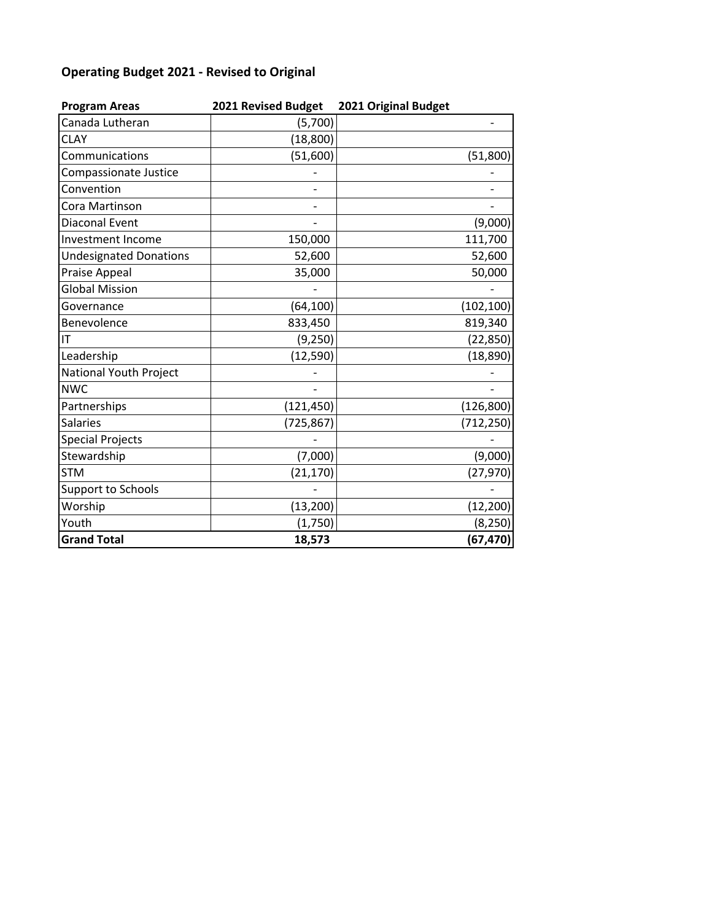## **Operating Budget 2021 ‐ Revised to Original**

| <b>Program Areas</b>          | 2021 Revised Budget | 2021 Original Budget |
|-------------------------------|---------------------|----------------------|
| Canada Lutheran               | (5,700)             |                      |
| <b>CLAY</b>                   | (18, 800)           |                      |
| Communications                | (51,600)            | (51, 800)            |
| Compassionate Justice         |                     |                      |
| Convention                    |                     |                      |
| Cora Martinson                |                     |                      |
| Diaconal Event                |                     | (9,000)              |
| <b>Investment Income</b>      | 150,000             | 111,700              |
| <b>Undesignated Donations</b> | 52,600              | 52,600               |
| Praise Appeal                 | 35,000              | 50,000               |
| <b>Global Mission</b>         |                     |                      |
| Governance                    | (64, 100)           | (102, 100)           |
| Benevolence                   | 833,450             | 819,340              |
| IT                            | (9, 250)            | (22, 850)            |
| Leadership                    | (12, 590)           | (18, 890)            |
| National Youth Project        |                     |                      |
| <b>NWC</b>                    |                     |                      |
| Partnerships                  | (121, 450)          | (126, 800)           |
| <b>Salaries</b>               | (725, 867)          | (712, 250)           |
| <b>Special Projects</b>       |                     |                      |
| Stewardship                   | (7,000)             | (9,000)              |
| <b>STM</b>                    | (21, 170)           | (27, 970)            |
| Support to Schools            |                     |                      |
| Worship                       | (13, 200)           | (12, 200)            |
| Youth                         | (1,750)             | (8, 250)             |
| <b>Grand Total</b>            | 18,573              | (67, 470)            |